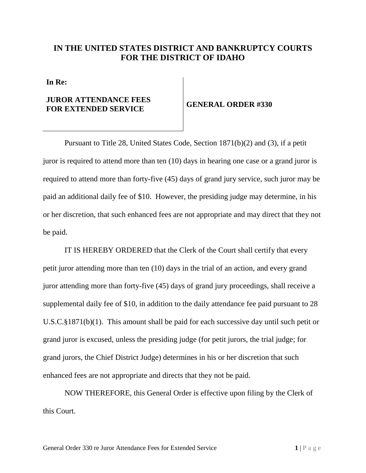## **IN THE UNITED STATES DISTRICT AND BANKRUPTCY COURTS FOR THE DISTRICT OF IDAHO**

**In Re:**

## **JUROR ATTENDANCE FEES FOR EXTENDED SERVICE GENERAL ORDER #330**

Pursuant to Title 28, United States Code, Section 1871(b)(2) and (3), if a petit juror is required to attend more than ten (10) days in hearing one case or a grand juror is required to attend more than forty-five (45) days of grand jury service, such juror may be paid an additional daily fee of \$10. However, the presiding judge may determine, in his or her discretion, that such enhanced fees are not appropriate and may direct that they not be paid.

IT IS HEREBY ORDERED that the Clerk of the Court shall certify that every petit juror attending more than ten (10) days in the trial of an action, and every grand juror attending more than forty-five (45) days of grand jury proceedings, shall receive a supplemental daily fee of \$10, in addition to the daily attendance fee paid pursuant to 28 U.S.C.§1871(b)(1). This amount shall be paid for each successive day until such petit or grand juror is excused, unless the presiding judge (for petit jurors, the trial judge; for grand jurors, the Chief District Judge) determines in his or her discretion that such enhanced fees are not appropriate and directs that they not be paid.

NOW THEREFORE, this General Order is effective upon filing by the Clerk of this Court.